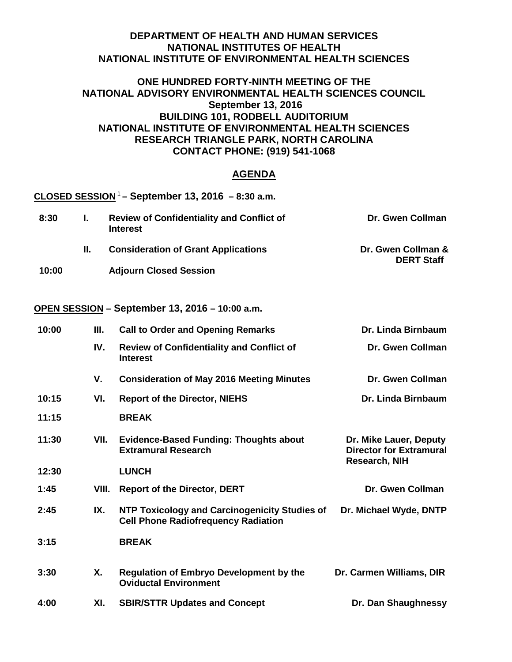## **DEPARTMENT OF HEALTH AND HUMAN SERVICES NATIONAL INSTITUTES OF HEALTH NATIONAL INSTITUTE OF ENVIRONMENTAL HEALTH SCIENCES**

## **ONE HUNDRED FORTY-NINTH MEETING OF THE NATIONAL ADVISORY ENVIRONMENTAL HEALTH SCIENCES COUNCIL September 13, 2016 BUILDING 101, RODBELL AUDITORIUM NATIONAL INSTITUTE OF ENVIRONMENTAL HEALTH SCIENCES RESEARCH TRIANGLE PARK, NORTH CAROLINA CONTACT PHONE: (919) 541-1068**

## **AGENDA**

|       |       | CLOSED SESSION <sup>1</sup> – September 13, 2016 – 8:30 a.m.                                |                                                                                  |
|-------|-------|---------------------------------------------------------------------------------------------|----------------------------------------------------------------------------------|
| 8:30  | I.    | <b>Review of Confidentiality and Conflict of</b><br><b>Interest</b>                         | Dr. Gwen Collman                                                                 |
|       | П.    | <b>Consideration of Grant Applications</b>                                                  | Dr. Gwen Collman &<br><b>DERT Staff</b>                                          |
| 10:00 |       | <b>Adjourn Closed Session</b>                                                               |                                                                                  |
|       |       | OPEN SESSION - September 13, 2016 - 10:00 a.m.                                              |                                                                                  |
| 10:00 | Ш.    | <b>Call to Order and Opening Remarks</b>                                                    | Dr. Linda Birnbaum                                                               |
|       | IV.   | <b>Review of Confidentiality and Conflict of</b><br><b>Interest</b>                         | Dr. Gwen Collman                                                                 |
|       | V.    | <b>Consideration of May 2016 Meeting Minutes</b>                                            | Dr. Gwen Collman                                                                 |
| 10:15 | VI.   | <b>Report of the Director, NIEHS</b>                                                        | Dr. Linda Birnbaum                                                               |
| 11:15 |       | <b>BREAK</b>                                                                                |                                                                                  |
| 11:30 | VII.  | <b>Evidence-Based Funding: Thoughts about</b><br><b>Extramural Research</b>                 | Dr. Mike Lauer, Deputy<br><b>Director for Extramural</b><br><b>Research, NIH</b> |
| 12:30 |       | <b>LUNCH</b>                                                                                |                                                                                  |
| 1:45  | VIII. | <b>Report of the Director, DERT</b>                                                         | Dr. Gwen Collman                                                                 |
| 2:45  | IX.   | NTP Toxicology and Carcinogenicity Studies of<br><b>Cell Phone Radiofrequency Radiation</b> | Dr. Michael Wyde, DNTP                                                           |

- **3:15 BREAK**
- **3:30 X. Regulation of Embryo Development by the Dr. Carmen Williams, DIR Oviductal Environment**
- **4:00 XI. SBIR/STTR Updates and Concept Dr. Dan Shaughnessy**